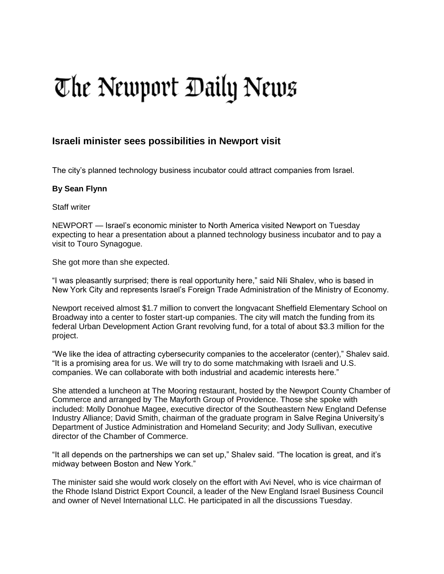## The Newport Daily News

## **Israeli minister sees possibilities in Newport visit**

The city's planned technology business incubator could attract companies from Israel.

## **By Sean Flynn**

Staff writer

NEWPORT — Israel's economic minister to North America visited Newport on Tuesday expecting to hear a presentation about a planned technology business incubator and to pay a visit to Touro Synagogue.

She got more than she expected.

"I was pleasantly surprised; there is real opportunity here," said Nili Shalev, who is based in New York City and represents Israel's Foreign Trade Administration of the Ministry of Economy.

Newport received almost \$1.7 million to convert the longvacant Sheffield Elementary School on Broadway into a center to foster start-up companies. The city will match the funding from its federal Urban Development Action Grant revolving fund, for a total of about \$3.3 million for the project.

"We like the idea of attracting cybersecurity companies to the accelerator (center)," Shalev said. "It is a promising area for us. We will try to do some matchmaking with Israeli and U.S. companies. We can collaborate with both industrial and academic interests here."

She attended a luncheon at The Mooring restaurant, hosted by the Newport County Chamber of Commerce and arranged by The Mayforth Group of Providence. Those she spoke with included: Molly Donohue Magee, executive director of the Southeastern New England Defense Industry Alliance; David Smith, chairman of the graduate program in Salve Regina University's Department of Justice Administration and Homeland Security; and Jody Sullivan, executive director of the Chamber of Commerce.

"It all depends on the partnerships we can set up," Shalev said. "The location is great, and it's midway between Boston and New York."

The minister said she would work closely on the effort with Avi Nevel, who is vice chairman of the Rhode Island District Export Council, a leader of the New England Israel Business Council and owner of Nevel International LLC. He participated in all the discussions Tuesday.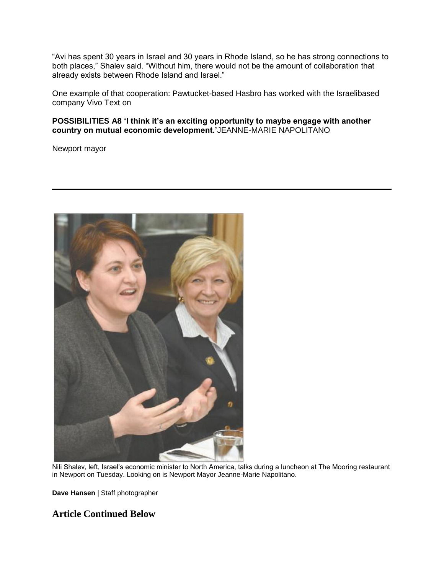"Avi has spent 30 years in Israel and 30 years in Rhode Island, so he has strong connections to both places," Shalev said. "Without him, there would not be the amount of collaboration that already exists between Rhode Island and Israel."

One example of that cooperation: Pawtucket-based Hasbro has worked with the Israelibased company Vivo Text on

**POSSIBILITIES A8 'I think it's an exciting opportunity to maybe engage with another country on mutual economic development.'**JEANNE-MARIE NAPOLITANO

Newport mayor



Nili Shalev, left, Israel's economic minister to North America, talks during a luncheon at The Mooring restaurant in Newport on Tuesday. Looking on is Newport Mayor Jeanne-Marie Napolitano.

**Dave Hansen** | Staff photographer

**Article Continued Below**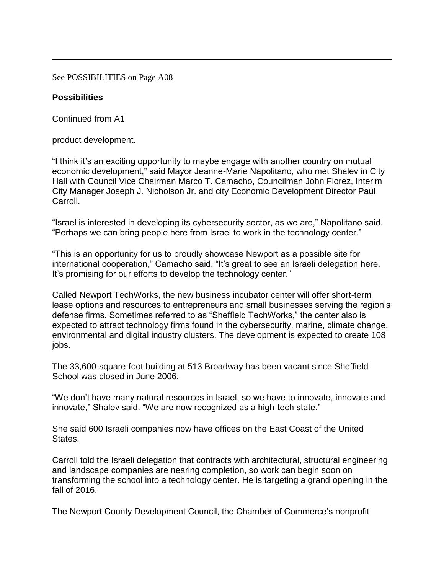See POSSIBILITIES on Page A08

## **Possibilities**

Continued from A1

product development.

"I think it's an exciting opportunity to maybe engage with another country on mutual economic development," said Mayor Jeanne-Marie Napolitano, who met Shalev in City Hall with Council Vice Chairman Marco T. Camacho, Councilman John Florez, Interim City Manager Joseph J. Nicholson Jr. and city Economic Development Director Paul Carroll.

"Israel is interested in developing its cybersecurity sector, as we are," Napolitano said. "Perhaps we can bring people here from Israel to work in the technology center."

"This is an opportunity for us to proudly showcase Newport as a possible site for international cooperation," Camacho said. "It's great to see an Israeli delegation here. It's promising for our efforts to develop the technology center."

Called Newport TechWorks, the new business incubator center will offer short-term lease options and resources to entrepreneurs and small businesses serving the region's defense firms. Sometimes referred to as "Sheffield TechWorks," the center also is expected to attract technology firms found in the cybersecurity, marine, climate change, environmental and digital industry clusters. The development is expected to create 108 jobs.

The 33,600-square-foot building at 513 Broadway has been vacant since Sheffield School was closed in June 2006.

"We don't have many natural resources in Israel, so we have to innovate, innovate and innovate," Shalev said. "We are now recognized as a high-tech state."

She said 600 Israeli companies now have offices on the East Coast of the United States.

Carroll told the Israeli delegation that contracts with architectural, structural engineering and landscape companies are nearing completion, so work can begin soon on transforming the school into a technology center. He is targeting a grand opening in the fall of 2016.

The Newport County Development Council, the Chamber of Commerce's nonprofit